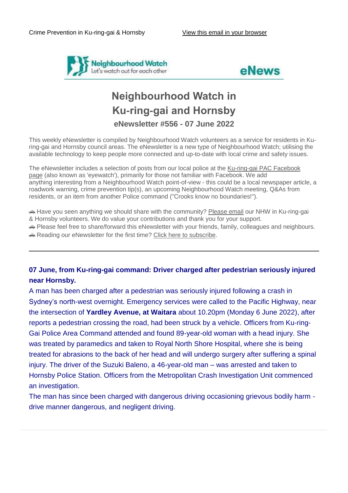



# **Neighbourhood Watch in Ku-ring-gai and Hornsby eNewsletter #556 - 07 June 2022**

This weekly eNewsletter is compiled by Neighbourhood Watch volunteers as a service for residents in Kuring-gai and Hornsby council areas. The eNewsletter is a new type of Neighbourhood Watch; utilising the available technology to keep people more connected and up-to-date with local crime and safety issues.

The eNewsletter includes a selection of posts from our local police at the Ku-ring-gai PAC Facebook [page](https://www.facebook.com/KuringGaiPAC/) (also known as 'eyewatch'), primarily for those not familiar with Facebook. We add anything interesting from a Neighbourhood Watch point-of-view - this could be a local newspaper article, a roadwork warning, crime prevention tip(s), an upcoming Neighbourhood Watch meeting, Q&As from residents, or an item from another Police command ("Crooks know no boundaries!").

 Have you seen anything we should share with the community? [Please email](mailto:NHWKuringgaiHornsby@gmail.com?subject=eNewsletter%20feedback) our NHW in Ku-ring-gai & Hornsby volunteers. We do value your contributions and thank you for your support.

↔ Please feel free to share/forward this eNewsletter with your friends, family, colleagues and neighbours.

Reading our eNewsletter for the first time? [Click here to](http://eepurl.com/dfOGJz) subscribe.

### **07 June, from Ku-ring-gai command: Driver charged after pedestrian seriously injured near Hornsby.**

A man has been charged after a pedestrian was seriously injured following a crash in Sydney's north-west overnight. Emergency services were called to the Pacific Highway, near the intersection of **Yardley Avenue, at Waitara** about 10.20pm (Monday 6 June 2022), after reports a pedestrian crossing the road, had been struck by a vehicle. Officers from Ku-ring-Gai Police Area Command attended and found 89-year-old woman with a head injury. She was treated by paramedics and taken to Royal North Shore Hospital, where she is being treated for abrasions to the back of her head and will undergo surgery after suffering a spinal injury. The driver of the Suzuki Baleno, a 46-year-old man – was arrested and taken to Hornsby Police Station. Officers from the Metropolitan Crash Investigation Unit commenced an investigation.

The man has since been charged with dangerous driving occasioning grievous bodily harm drive manner dangerous, and negligent driving.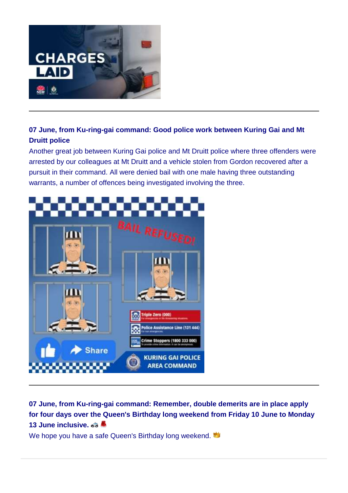

# **07 June, from Ku-ring-gai command: Good police work between Kuring Gai and Mt Druitt police**

Another great job between Kuring Gai police and Mt Druitt police where three offenders were arrested by our colleagues at Mt Druitt and a vehicle stolen from Gordon recovered after a pursuit in their command. All were denied bail with one male having three outstanding warrants, a number of offences being investigated involving the three.



**07 June, from Ku-ring-gai command: Remember, double demerits are in place apply for four days over the Queen's Birthday long weekend from Friday 10 June to Monday 13 June inclusive.**

We hope you have a safe Queen's Birthday long weekend.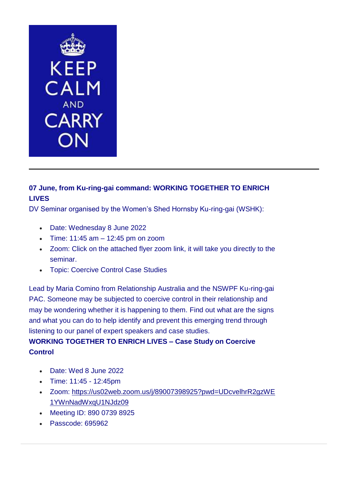

## **07 June, from Ku-ring-gai command: WORKING TOGETHER TO ENRICH LIVES**

DV Seminar organised by the Women's Shed Hornsby Ku-ring-gai (WSHK):

- Date: Wednesday 8 June 2022
- $\bullet$  Time: 11:45 am  $-$  12:45 pm on zoom
- Zoom: Click on the attached flyer zoom link, it will take you directly to the seminar.
- Topic: Coercive Control Case Studies

Lead by Maria Comino from Relationship Australia and the NSWPF Ku-ring-gai PAC. Someone may be subjected to coercive control in their relationship and may be wondering whether it is happening to them. Find out what are the signs and what you can do to help identify and prevent this emerging trend through listening to our panel of expert speakers and case studies.

## **WORKING TOGETHER TO ENRICH LIVES – Case Study on Coercive Control**

- Date: Wed 8 June 2022
- Time: 11:45 12:45pm
- Zoom: [https://us02web.zoom.us/j/89007398925?pwd=UDcvelhrR2gzWE](https://us02web.zoom.us/j/89007398925?pwd=UDcvelhrR2gzWE1YWnNadWxqU1NJdz09) [1YWnNadWxqU1NJdz09](https://us02web.zoom.us/j/89007398925?pwd=UDcvelhrR2gzWE1YWnNadWxqU1NJdz09)
- Meeting ID: 890 0739 8925
- Passcode: 695962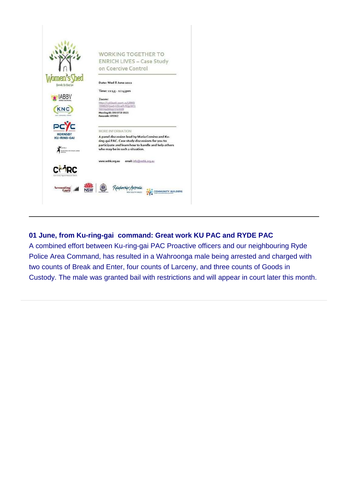

### **01 June, from Ku-ring-gai command: Great work KU PAC and RYDE PAC**

A combined effort between Ku-ring-gai PAC Proactive officers and our neighbouring Ryde Police Area Command, has resulted in a Wahroonga male being arrested and charged with two counts of Break and Enter, four counts of Larceny, and three counts of Goods in Custody. The male was granted bail with restrictions and will appear in court later this month.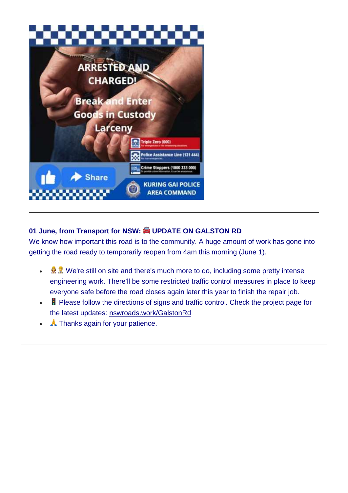

# **01 June, from Transport for NSW: UPDATE ON GALSTON RD**

We know how important this road is to the community. A huge amount of work has gone into getting the road ready to temporarily reopen from 4am this morning (June 1).

- $\mathbb{R} \times \mathbb{R}$  We're still on site and there's much more to do, including some pretty intense engineering work. There'll be some restricted traffic control measures in place to keep everyone safe before the road closes again later this year to finish the repair job.
- Please follow the directions of signs and traffic control. Check the project page for the latest updates: [nswroads.work/GalstonRd](http://nswroads.work/GalstonRd?)
- A Thanks again for your patience.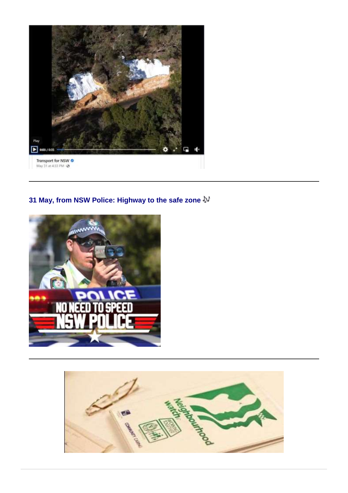

# **31 May, from NSW Police: Highway to the safe zone**



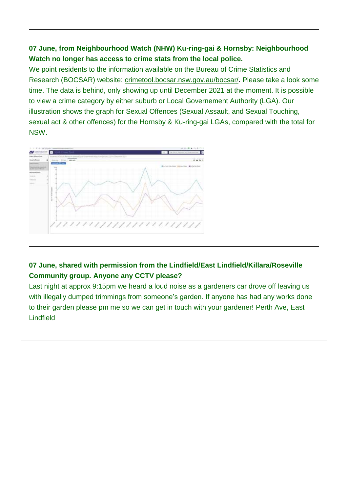### **07 June, from Neighbourhood Watch (NHW) Ku-ring-gai & Hornsby: Neighbourhood Watch no longer has access to crime stats from the local police.**

We point residents to the information available on the Bureau of Crime Statistics and Research (BOCSAR) website: [crimetool.bocsar.nsw.gov.au/bocsar/](http://crimetool.bocsar.nsw.gov.au/bocsar/)**.** Please take a look some time. The data is behind, only showing up until December 2021 at the moment. It is possible to view a crime category by either suburb or Local Governement Authority (LGA). Our illustration shows the graph for Sexual Offences (Sexual Assault, and Sexual Touching, sexual act & other offences) for the Hornsby & Ku-ring-gai LGAs, compared with the total for NSW.



## **07 June, shared with permission from the Lindfield/East Lindfield/Killara/Roseville Community group. Anyone any CCTV please?**

Last night at approx 9:15pm we heard a loud noise as a gardeners car drove off leaving us with illegally dumped trimmings from someone's garden. If anyone has had any works done to their garden please pm me so we can get in touch with your gardener! Perth Ave, East Lindfield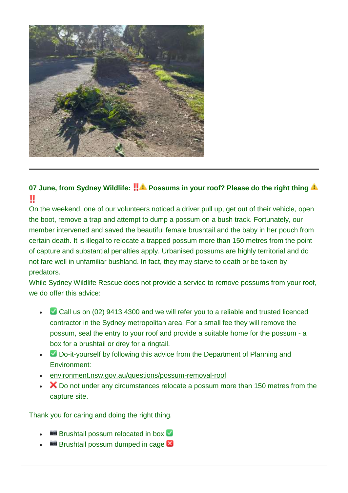

# **07 June, from Sydney Wildlife: !! 4 Possums in your roof? Please do the right thing 4** Ш

On the weekend, one of our volunteers noticed a driver pull up, get out of their vehicle, open the boot, remove a trap and attempt to dump a possum on a bush track. Fortunately, our member intervened and saved the beautiful female brushtail and the baby in her pouch from certain death. It is illegal to relocate a trapped possum more than 150 metres from the point of capture and substantial penalties apply. Urbanised possums are highly territorial and do not fare well in unfamiliar bushland. In fact, they may starve to death or be taken by predators.

While Sydney Wildlife Rescue does not provide a service to remove possums from your roof, we do offer this advice:

- • Call us on (02) 9413 4300 and we will refer you to a reliable and trusted licenced contractor in the Sydney metropolitan area. For a small fee they will remove the possum, seal the entry to your roof and provide a suitable home for the possum - a box for a brushtail or drey for a ringtail.
- Do-it-yourself by following this advice from the Department of Planning and Environment:
- [environment.nsw.gov.au/questions/possum-removal-roof](https://www.environment.nsw.gov.au/questions/possum-removal-roof?)
- X Do not under any circumstances relocate a possum more than 150 metres from the capture site.

Thank you for caring and doing the right thing.

- **Brushtail possum relocated in box V**
- **Brushtail possum dumped in cage &**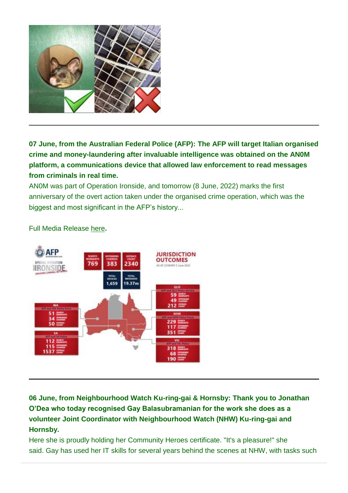

**07 June, from the Australian Federal Police (AFP): The AFP will target Italian organised crime and money-laundering after invaluable intelligence was obtained on the AN0M platform, a communications device that allowed law enforcement to read messages from criminals in real time.**

AN0M was part of Operation Ironside, and tomorrow (8 June, 2022) marks the first anniversary of the overt action taken under the organised crime operation, which was the biggest and most significant in the AFP's history...



Full Media Release [here](https://www.afp.gov.au/news-media/media-releases/afp-target-italian-organised-crime-and-money-laundering-year-operation)**.**

**06 June, from Neighbourhood Watch Ku-ring-gai & Hornsby: Thank you to Jonathan O'Dea who today recognised Gay Balasubramanian for the work she does as a volunteer Joint Coordinator with Neighbourhood Watch (NHW) Ku-ring-gai and Hornsby.**

Here she is proudly holding her Community Heroes certificate. "It's a pleasure!" she said. Gay has used her IT skills for several years behind the scenes at NHW, with tasks such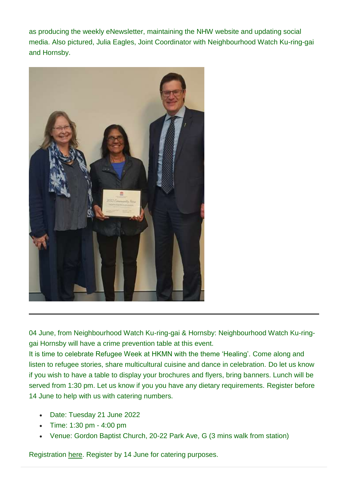as producing the weekly eNewsletter, maintaining the NHW website and updating social media. Also pictured, Julia Eagles, Joint Coordinator with Neighbourhood Watch Ku-ring-gai and Hornsby.



04 June, from Neighbourhood Watch Ku-ring-gai & Hornsby: Neighbourhood Watch Ku-ringgai Hornsby will have a crime prevention table at this event.

It is time to celebrate Refugee Week at HKMN with the theme 'Healing'. Come along and listen to refugee stories, share multicultural cuisine and dance in celebration. Do let us know if you wish to have a table to display your brochures and flyers, bring banners. Lunch will be served from 1:30 pm. Let us know if you you have any dietary requirements. Register before 14 June to help with us with catering numbers.

- Date: Tuesday 21 June 2022
- Time: 1:30 pm 4:00 pm
- Venue: Gordon Baptist Church, 20-22 Park Ave, G (3 mins walk from station)

Registration [here.](https://www.eventbrite.com.au/e/hkmn-refugee-week-celebration-2022-tickets-354323690697) Register by 14 June for catering purposes.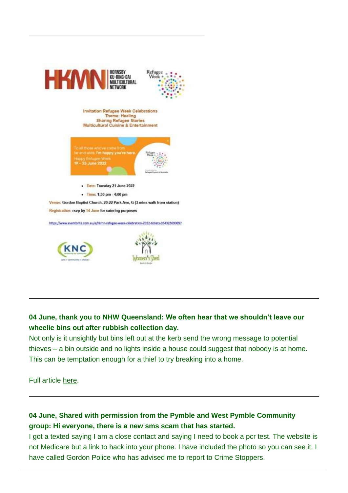

### **04 June, thank you to NHW Queensland: We often hear that we shouldn't leave our wheelie bins out after rubbish collection day.**

Not only is it unsightly but bins left out at the kerb send the wrong message to potential thieves – a bin outside and no lights inside a house could suggest that nobody is at home. This can be temptation enough for a thief to try breaking into a home.

Full article [here.](https://www.nhwq.org/qld/2022/05/27/wheelie-good-neighbours/)

# **04 June, Shared with permission from the Pymble and West Pymble Community group: Hi everyone, there is a new sms scam that has started.**

I got a texted saying I am a close contact and saying I need to book a pcr test. The website is not Medicare but a link to hack into your phone. I have included the photo so you can see it. I have called Gordon Police who has advised me to report to Crime Stoppers.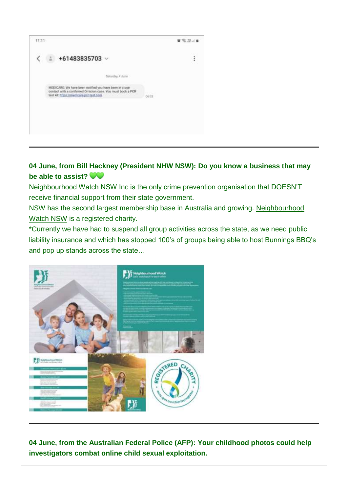| 11:11 |                                                                                                                                                                 |      | ■ 毛器定量 |
|-------|-----------------------------------------------------------------------------------------------------------------------------------------------------------------|------|--------|
|       | +61483835703 $\scriptstyle\mathtt{\sim}$                                                                                                                        |      | Ì      |
|       | Saturday, 4 June                                                                                                                                                |      |        |
|       | MEDICARE: We have been notified you have been in close<br>contact with a confirmed Omicron case. You must book a PCR<br>test kit: https://medicare-pcr-test.com | 0613 |        |
|       |                                                                                                                                                                 |      |        |
|       |                                                                                                                                                                 |      |        |

### **04 June, from Bill Hackney (President NHW NSW): Do you know a business that may be able to assist?**

Neighbourhood Watch NSW Inc is the only crime prevention organisation that DOESN'T receive financial support from their state government.

NSW has the second largest membership base in Australia and growing. [Neighbourhood](https://nhwnsw.org.au/)  [Watch NSW](https://nhwnsw.org.au/) is a registered charity.

\*Currently we have had to suspend all group activities across the state, as we need public liability insurance and which has stopped 100's of groups being able to host Bunnings BBQ's and pop up stands across the state…



**04 June, from the Australian Federal Police (AFP): Your childhood photos could help investigators combat online child sexual exploitation.**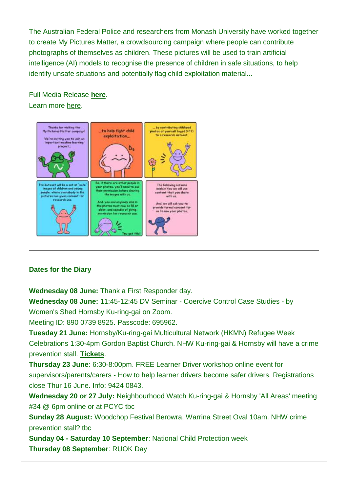The Australian Federal Police and researchers from Monash University have worked together to create My Pictures Matter, a crowdsourcing campaign where people can contribute photographs of themselves as children. These pictures will be used to train artificial intelligence (AI) models to recognise the presence of children in safe situations, to help identify unsafe situations and potentially flag child exploitation material...

Full Media Release **[here](https://www.afp.gov.au/news-media/media-releases/crowdsourcing-combat-child-abuse)**. Learn more [here.](https://mypicturesmatter.org/)



### **Dates for the Diary**

**Wednesday 08 June:** Thank a First Responder day.

**Wednesday 08 June:** 11:45-12:45 DV Seminar - Coercive Control Case Studies - by

Women's Shed Hornsby Ku-ring-gai on Zoom.

Meeting ID: 890 0739 8925. Passcode: 695962.

**Tuesday 21 June:** Hornsby/Ku-ring-gai Multicultural Network (HKMN) Refugee Week Celebrations 1:30-4pm Gordon Baptist Church. NHW Ku-ring-gai & Hornsby will have a crime prevention stall. **[Tickets](https://www.eventbrite.com.au/e/hkmn-refugee-week-celebration-2022-tickets-354323690697)**.

**Thursday 23 June**: 6:30-8:00pm. FREE Learner Driver workshop online event for supervisors/parents/carers - How to help learner drivers become safer drivers. Registrations close Thur 16 June. Info: 9424 0843.

**Wednesday 20 or 27 July:** Neighbourhood Watch Ku-ring-gai & Hornsby 'All Areas' meeting #34 @ 6pm online or at PCYC tbc

**Sunday 28 August:** Woodchop Festival Berowra, Warrina Street Oval 10am. NHW crime prevention stall? tbc

**Sunday 04 - Saturday 10 September**: National Child Protection week **Thursday 08 September**: RUOK Day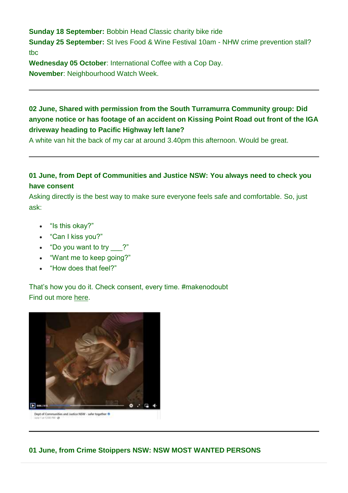**Sunday 18 September:** Bobbin Head Classic charity bike ride **Sunday 25 September:** St Ives Food & Wine Festival 10am - NHW crime prevention stall? tbc

**Wednesday 05 October**: International Coffee with a Cop Day. **November**: Neighbourhood Watch Week.

## **02 June, Shared with permission from the South Turramurra Community group: Did anyone notice or has footage of an accident on Kissing Point Road out front of the IGA driveway heading to Pacific Highway left lane?**

A white van hit the back of my car at around 3.40pm this afternoon. Would be great.

### **01 June, from Dept of Communities and Justice NSW: You always need to check you have consent**

Asking directly is the best way to make sure everyone feels safe and comfortable. So, just ask:

- "Is this okay?"
- "Can I kiss you?"
- "Do you want to try \_\_\_?"
- "Want me to keep going?"
- "How does that feel?"

That's how you do it. Check consent, every time. #makenodoubt Find out more [here.](https://www.makenodoubt.dcj.nsw.gov.au/)



**01 June, from Crime Stoippers NSW: NSW MOST WANTED PERSONS**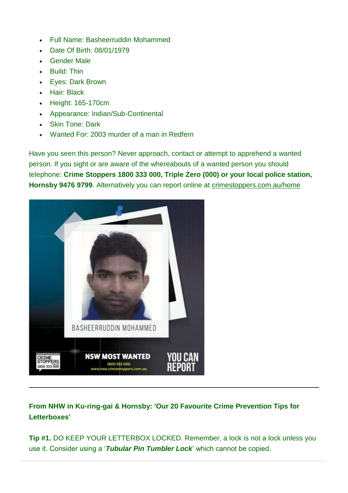- Full Name: Basheerruddin Mohammed
- Date Of Birth: 08/01/1979
- Gender Male
- Build: Thin
- Eyes: Dark Brown
- Hair: Black
- Height: 165-170cm
- Appearance: Indian/Sub-Continental
- Skin Tone: Dark
- Wanted For: 2003 murder of a man in Redfern

Have you seen this person? Never approach, contact or attempt to apprehend a wanted person. If you sight or are aware of the whereabouts of a wanted person you should telephone: **Crime Stoppers 1800 333 000, Triple Zero (000) or your local police station, Hornsby 9476 9799**. Alternatively you can report online at [crimestoppers.com.au/home](http://www.crimestoppers.com.au/home)



# **From NHW in Ku-ring-gai & Hornsby: 'Our 20 Favourite Crime Prevention Tips for Letterboxes'**

**Tip #1.** DO KEEP YOUR LETTERBOX LOCKED. Remember, a lock is not a lock unless you use it. Consider using a '*Tubular Pin Tumbler Lock*' which cannot be copied.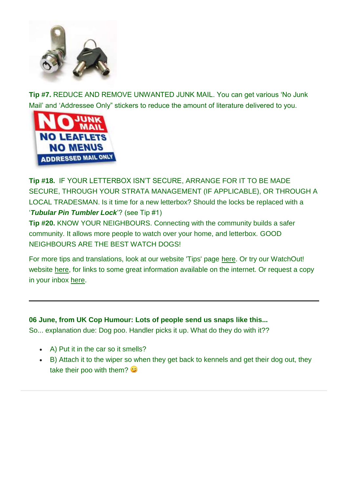

**Tip #7.** REDUCE AND REMOVE UNWANTED JUNK MAIL. You can get various 'No Junk Mail' and 'Addressee Only" stickers to reduce the amount of literature delivered to you.



**Tip #18.** IF YOUR LETTERBOX ISN'T SECURE, ARRANGE FOR IT TO BE MADE SECURE, THROUGH YOUR STRATA MANAGEMENT (IF APPLICABLE), OR THROUGH A LOCAL TRADESMAN. Is it time for a new letterbox? Should the locks be replaced with a '*Tubular Pin Tumbler Lock*'? (see Tip #1)

**Tip #20.** KNOW YOUR NEIGHBOURS. Connecting with the community builds a safer community. It allows more people to watch over your home, and letterbox. GOOD NEIGHBOURS ARE THE BEST WATCH DOGS!

For more tips and translations, look at our website 'Tips' page [here.](https://nhwkuringgaihornsby.us2.list-manage.com/track/click?u=76e5dc9a91946a6f3d7f0da9d&id=3c03d0a5ce&e=0905caa587) Or try our WatchOut! website [here,](https://nhwkuringgaihornsby.us2.list-manage.com/track/click?u=76e5dc9a91946a6f3d7f0da9d&id=3e5b447a1f&e=0905caa587) for links to some great information available on the internet. Or request a copy in your inbox [here.](mailto:NHWKuringgaiHornsby@gmail.com?subject=20%20Tips%20Homes%20pls)

### **06 June, from UK Cop Humour: Lots of people send us snaps like this...**

So... explanation due: Dog poo. Handler picks it up. What do they do with it??

- A) Put it in the car so it smells?
- B) Attach it to the wiper so when they get back to kennels and get their dog out, they take their poo with them?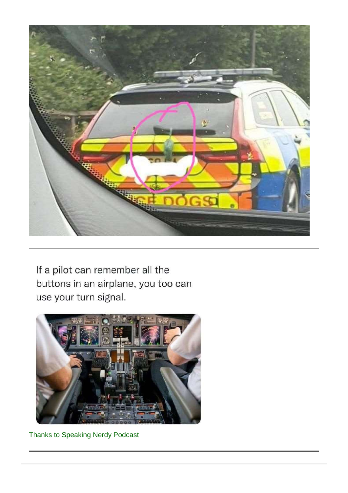

If a pilot can remember all the buttons in an airplane, you too can use your turn signal.



Thanks to Speaking Nerdy Podcast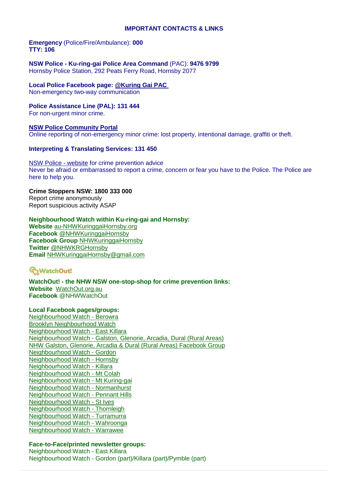#### **IMPORTANT CONTACTS & LINKS**

#### **Emergency** (Police/Fire/Ambulance): **000 TTY: 106**

#### **NSW Police - Ku-ring-gai Police Area Command** (PAC): **9476 9799** Hornsby Police Station, 292 Peats Ferry Road, Hornsby 2077

#### **Local Police Facebook page: [@Kuring Gai PAC](https://www.facebook.com/KuringGaiPAC)**

Non-emergency two-way communication

#### **Police Assistance Line (PAL): 131 444**

For non-urgent minor crime.

#### **[NSW Police Community Portal](https://www.police.nsw.gov.au/community_portal/home)**

Online reporting of non-emergency minor crime: lost property, intentional damage, graffiti or theft.

#### **Interpreting & Translating Services: 131 450**

[NSW Police -](https://www.police.nsw.gov.au/) website for crime prevention advice Never be afraid or embarrassed to report a crime, concern or fear you have to the Police. The Police are here to help you.

#### **Crime Stoppers NSW: 1800 333 000** Report crime anonymously

Report suspicious activity ASAP

#### **Neighbourhood Watch within Ku-ring-gai and Hornsby:**

**Website** [au-NHWKuringgaiHornsby.org](http://au-nhwkuringgaihornsby.org/) **Facebook** [@NHWKuringgaiHornsby](https://www.facebook.com/NHWKuringgaiHornsby) **Facebook Group** [NHWKuringgaiHornsby](https://www.facebook.com/groups/NHWKuringgaiHornsby) **Twitter** [@NHWKRGHornsby](https://twitter.com/NHWKRGHornsby) **Email** [NHWKuringgaiHornsby@gmail.com](mailto:NHWKuringgaiHornsby@gmail.com)

### G<sub>2</sub>WatchOut!

**WatchOut! - the NHW NSW one-stop-shop for crime prevention links: Website** [WatchOut.org.au](http://watchout.org.au/) **Facebook** @NHWWatchOut

#### **Local Facebook pages/groups:**

[Neighbourhood Watch -](https://www.facebook.com/NHWBerowra) Berowra [Brooklyn Neighbourhood Watch](https://www.facebook.com/NHWBrooklyn) [Neighbourhood Watch -](https://www.facebook.com/EastKillaraNeighbourhoodWatch/) East Killara Neighbourhood Watch - [Galston, Glenorie, Arcadia, Dural \(Rural Areas\)](https://www.facebook.com/NHWGGAD/) [NHW Galston, Glenorie, Arcadia & Dural \(Rural Areas\) Facebook Group](https://www.facebook.com/groups/2129422823773660/) [Neighbourhood Watch -](https://www.facebook.com/NeighbourhoodWatchGordon/) Gordon [Neighbourhood Watch -](https://www.facebook.com/NHWHornsby/) Hornsby [Neighbourhood Watch -](https://www.facebook.com/NHWKillara/) Killara [Neighbourhood Watch -](https://www.facebook.com/NHWMtColah/) Mt Colah [Neighbourhood Watch -](https://www.facebook.com/MtKuringgaiNHW/) Mt Kuring-gai [Neighbourhood Watch -](https://www.facebook.com/NHWNormanhurst/) Normanhurst [Neighbourhood Watch -](https://www.facebook.com/NHWPennantHills/) Pennant Hills [Neighbourhood Watch -](https://www.facebook.com/NHWStIves/) St Ives [Neighbourhood Watch -](https://www.facebook.com/Thornleigh-Neighbourhood-Watch-102557765019091) Thornleigh [Neighbourhood Watch -](https://www.facebook.com/TurramurraNHW/) Turramurra [Neighbourhood Watch -](https://www.facebook.com/NHWWahroonga/) Wahroonga [Neighbourhood Watch -](https://www.facebook.com/Neighbourhood-Watch-Warrawee-109738591153523) Warrawee

#### **Face-to-Face/printed newsletter groups:**

Neighbourhood Watch - East Killara Neighbourhood Watch - Gordon (part)/Killara (part)/Pymble (part)